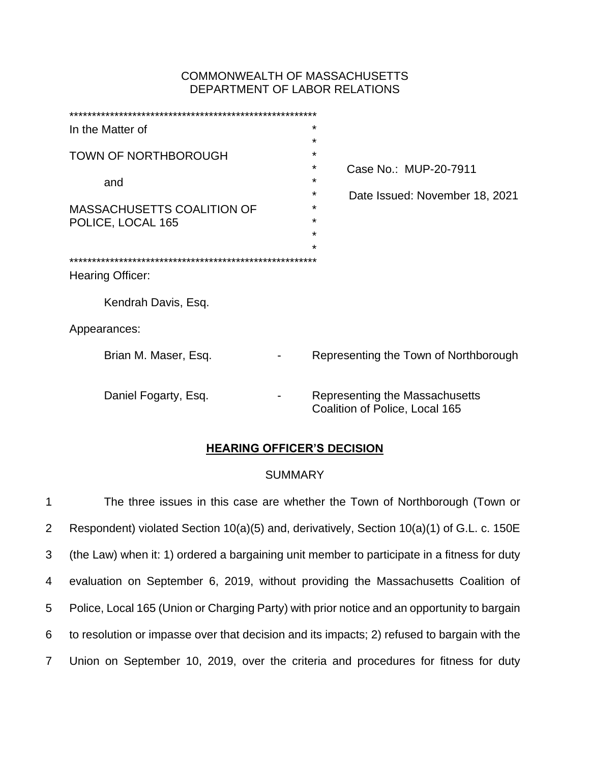# COMMONWEALTH OF MASSACHUSETTS DEPARTMENT OF LABOR RELATIONS

| In the Matter of                  | $\star$                                                          |
|-----------------------------------|------------------------------------------------------------------|
|                                   | $\star$                                                          |
| <b>TOWN OF NORTHBOROUGH</b>       | $\star$                                                          |
|                                   | *<br>Case No.: MUP-20-7911                                       |
| and                               | $\star$                                                          |
|                                   | *<br>Date Issued: November 18, 2021                              |
| <b>MASSACHUSETTS COALITION OF</b> | *                                                                |
| POLICE, LOCAL 165                 | *                                                                |
|                                   | $\star$                                                          |
|                                   | $\star$                                                          |
|                                   |                                                                  |
| Hearing Officer:                  |                                                                  |
|                                   |                                                                  |
| Kendrah Davis, Esq.               |                                                                  |
| Appearances:                      |                                                                  |
| Brian M. Maser, Esq.              | Representing the Town of Northborough                            |
|                                   |                                                                  |
|                                   |                                                                  |
| Daniel Fogarty, Esq.              | Representing the Massachusetts<br>Coalition of Police, Local 165 |

# **HEARING OFFICER'S DECISION**

## SUMMARY

 The three issues in this case are whether the Town of Northborough (Town or Respondent) violated Section 10(a)(5) and, derivatively, Section 10(a)(1) of G.L. c. 150E (the Law) when it: 1) ordered a bargaining unit member to participate in a fitness for duty evaluation on September 6, 2019, without providing the Massachusetts Coalition of Police, Local 165 (Union or Charging Party) with prior notice and an opportunity to bargain to resolution or impasse over that decision and its impacts; 2) refused to bargain with the Union on September 10, 2019, over the criteria and procedures for fitness for duty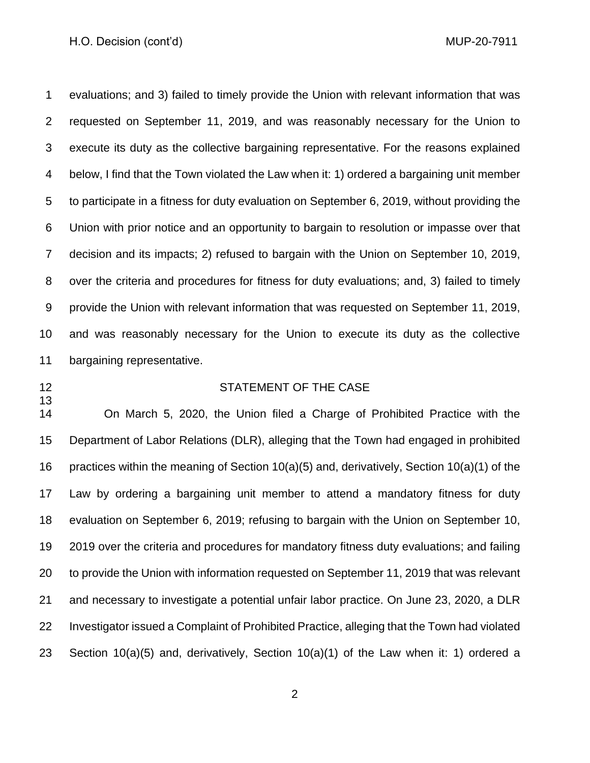#### H.O. Decision (cont'd) and the context of the context of the MUP-20-7911

 evaluations; and 3) failed to timely provide the Union with relevant information that was requested on September 11, 2019, and was reasonably necessary for the Union to execute its duty as the collective bargaining representative. For the reasons explained below, I find that the Town violated the Law when it: 1) ordered a bargaining unit member to participate in a fitness for duty evaluation on September 6, 2019, without providing the Union with prior notice and an opportunity to bargain to resolution or impasse over that decision and its impacts; 2) refused to bargain with the Union on September 10, 2019, over the criteria and procedures for fitness for duty evaluations; and, 3) failed to timely provide the Union with relevant information that was requested on September 11, 2019, and was reasonably necessary for the Union to execute its duty as the collective bargaining representative.

## 12 STATEMENT OF THE CASE

 On March 5, 2020, the Union filed a Charge of Prohibited Practice with the Department of Labor Relations (DLR), alleging that the Town had engaged in prohibited practices within the meaning of Section 10(a)(5) and, derivatively, Section 10(a)(1) of the Law by ordering a bargaining unit member to attend a mandatory fitness for duty evaluation on September 6, 2019; refusing to bargain with the Union on September 10, 2019 over the criteria and procedures for mandatory fitness duty evaluations; and failing to provide the Union with information requested on September 11, 2019 that was relevant and necessary to investigate a potential unfair labor practice. On June 23, 2020, a DLR Investigator issued a Complaint of Prohibited Practice, alleging that the Town had violated Section 10(a)(5) and, derivatively, Section 10(a)(1) of the Law when it: 1) ordered a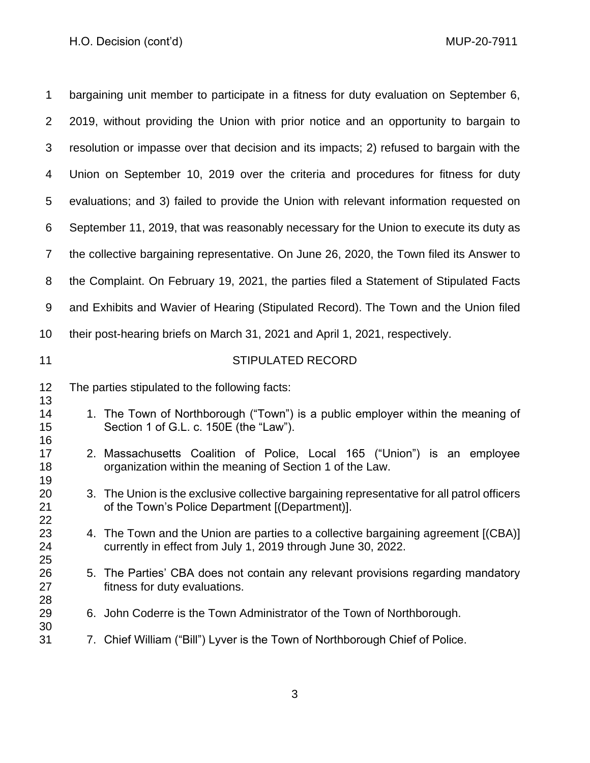| 1              | bargaining unit member to participate in a fitness for duty evaluation on September 6,                                                             |
|----------------|----------------------------------------------------------------------------------------------------------------------------------------------------|
| 2              | 2019, without providing the Union with prior notice and an opportunity to bargain to                                                               |
| 3              | resolution or impasse over that decision and its impacts; 2) refused to bargain with the                                                           |
| 4              | Union on September 10, 2019 over the criteria and procedures for fitness for duty                                                                  |
| 5              | evaluations; and 3) failed to provide the Union with relevant information requested on                                                             |
| 6              | September 11, 2019, that was reasonably necessary for the Union to execute its duty as                                                             |
| 7              | the collective bargaining representative. On June 26, 2020, the Town filed its Answer to                                                           |
| 8              | the Complaint. On February 19, 2021, the parties filed a Statement of Stipulated Facts                                                             |
| 9              | and Exhibits and Wavier of Hearing (Stipulated Record). The Town and the Union filed                                                               |
| 10             | their post-hearing briefs on March 31, 2021 and April 1, 2021, respectively.                                                                       |
| 11             | <b>STIPULATED RECORD</b>                                                                                                                           |
| 12             | The parties stipulated to the following facts:                                                                                                     |
| 13<br>14       | 1. The Town of Northborough ("Town") is a public employer within the meaning of                                                                    |
| 15             | Section 1 of G.L. c. 150E (the "Law").                                                                                                             |
| 16<br>17<br>18 | 2. Massachusetts Coalition of Police, Local 165 ("Union") is an employee<br>organization within the meaning of Section 1 of the Law.               |
| 19<br>20<br>21 | 3. The Union is the exclusive collective bargaining representative for all patrol officers<br>of the Town's Police Department [(Department)].      |
| 22<br>23<br>24 | 4. The Town and the Union are parties to a collective bargaining agreement [(CBA)]<br>currently in effect from July 1, 2019 through June 30, 2022. |
| 25<br>26<br>27 | The Parties' CBA does not contain any relevant provisions regarding mandatory<br>5.<br>fitness for duty evaluations.                               |
| 28<br>29<br>30 | 6. John Coderre is the Town Administrator of the Town of Northborough.                                                                             |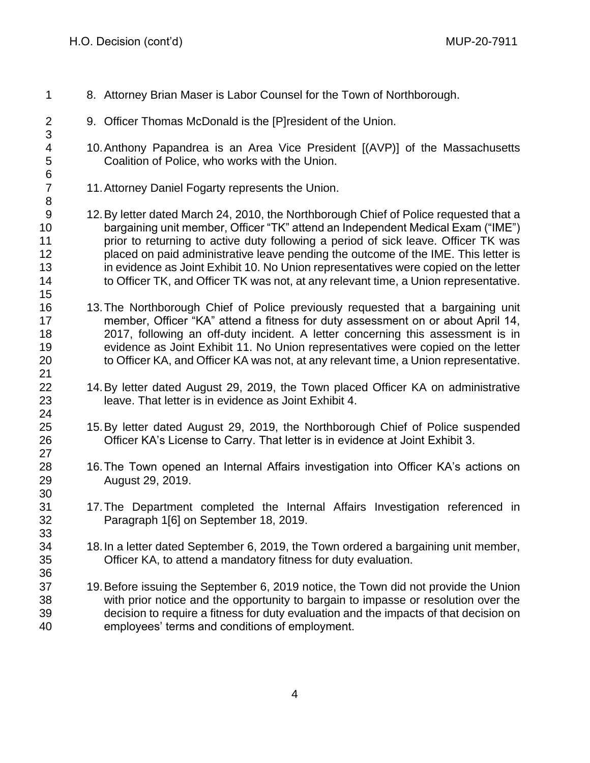| 1                                         | 8. Attorney Brian Maser is Labor Counsel for the Town of Northborough.                                                                                                                                                                                                                                                                                                                                                                                                                                                              |
|-------------------------------------------|-------------------------------------------------------------------------------------------------------------------------------------------------------------------------------------------------------------------------------------------------------------------------------------------------------------------------------------------------------------------------------------------------------------------------------------------------------------------------------------------------------------------------------------|
| $\overline{2}$<br>3                       | 9. Officer Thomas McDonald is the [P] resident of the Union.                                                                                                                                                                                                                                                                                                                                                                                                                                                                        |
| 4<br>5<br>$\,6$                           | 10. Anthony Papandrea is an Area Vice President [(AVP)] of the Massachusetts<br>Coalition of Police, who works with the Union.                                                                                                                                                                                                                                                                                                                                                                                                      |
| $\overline{7}$<br>$\,8\,$                 | 11. Attorney Daniel Fogarty represents the Union.                                                                                                                                                                                                                                                                                                                                                                                                                                                                                   |
| $9\,$<br>10<br>11<br>12<br>13<br>14<br>15 | 12. By letter dated March 24, 2010, the Northborough Chief of Police requested that a<br>bargaining unit member, Officer "TK" attend an Independent Medical Exam ("IME")<br>prior to returning to active duty following a period of sick leave. Officer TK was<br>placed on paid administrative leave pending the outcome of the IME. This letter is<br>in evidence as Joint Exhibit 10. No Union representatives were copied on the letter<br>to Officer TK, and Officer TK was not, at any relevant time, a Union representative. |
| 16<br>17<br>18<br>19<br>20<br>21          | 13. The Northborough Chief of Police previously requested that a bargaining unit<br>member, Officer "KA" attend a fitness for duty assessment on or about April 14,<br>2017, following an off-duty incident. A letter concerning this assessment is in<br>evidence as Joint Exhibit 11. No Union representatives were copied on the letter<br>to Officer KA, and Officer KA was not, at any relevant time, a Union representative.                                                                                                  |
| 22<br>23<br>24                            | 14. By letter dated August 29, 2019, the Town placed Officer KA on administrative<br>leave. That letter is in evidence as Joint Exhibit 4.                                                                                                                                                                                                                                                                                                                                                                                          |
| 25<br>26<br>27                            | 15. By letter dated August 29, 2019, the Northborough Chief of Police suspended<br>Officer KA's License to Carry. That letter is in evidence at Joint Exhibit 3.                                                                                                                                                                                                                                                                                                                                                                    |
| 28<br>29<br>30                            | 16. The Town opened an Internal Affairs investigation into Officer KA's actions on<br>August 29, 2019.                                                                                                                                                                                                                                                                                                                                                                                                                              |
| 31<br>32<br>33                            | 17. The Department completed the Internal Affairs Investigation referenced in<br>Paragraph 1[6] on September 18, 2019.                                                                                                                                                                                                                                                                                                                                                                                                              |
| 34<br>35<br>36                            | 18. In a letter dated September 6, 2019, the Town ordered a bargaining unit member,<br>Officer KA, to attend a mandatory fitness for duty evaluation.                                                                                                                                                                                                                                                                                                                                                                               |
| 37<br>38<br>39<br>40                      | 19. Before issuing the September 6, 2019 notice, the Town did not provide the Union<br>with prior notice and the opportunity to bargain to impasse or resolution over the<br>decision to require a fitness for duty evaluation and the impacts of that decision on<br>employees' terms and conditions of employment.                                                                                                                                                                                                                |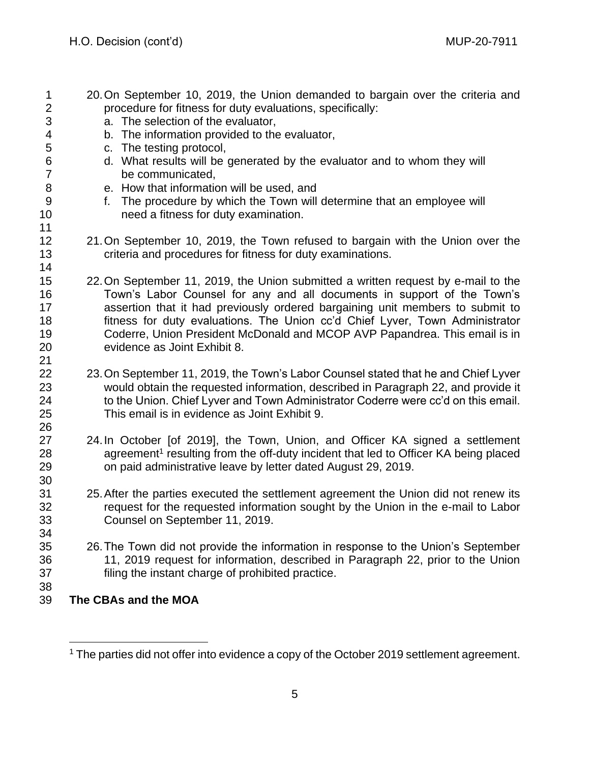| $\mathbf 1$<br>$\overline{2}$<br>3<br>4 | 20. On September 10, 2019, the Union demanded to bargain over the criteria and<br>procedure for fitness for duty evaluations, specifically:<br>a. The selection of the evaluator,<br>b. The information provided to the evaluator, |
|-----------------------------------------|------------------------------------------------------------------------------------------------------------------------------------------------------------------------------------------------------------------------------------|
| 5                                       | c. The testing protocol,                                                                                                                                                                                                           |
| 6                                       | d. What results will be generated by the evaluator and to whom they will                                                                                                                                                           |
| $\overline{7}$                          | be communicated,                                                                                                                                                                                                                   |
| 8                                       |                                                                                                                                                                                                                                    |
| 9                                       | e. How that information will be used, and                                                                                                                                                                                          |
|                                         | f. The procedure by which the Town will determine that an employee will                                                                                                                                                            |
| 10                                      | need a fitness for duty examination.                                                                                                                                                                                               |
| 11                                      |                                                                                                                                                                                                                                    |
| 12                                      | 21. On September 10, 2019, the Town refused to bargain with the Union over the                                                                                                                                                     |
| 13                                      | criteria and procedures for fitness for duty examinations.                                                                                                                                                                         |
| 14                                      |                                                                                                                                                                                                                                    |
| 15                                      | 22. On September 11, 2019, the Union submitted a written request by e-mail to the                                                                                                                                                  |
| 16                                      | Town's Labor Counsel for any and all documents in support of the Town's                                                                                                                                                            |
| 17                                      | assertion that it had previously ordered bargaining unit members to submit to                                                                                                                                                      |
| 18                                      | fitness for duty evaluations. The Union cc'd Chief Lyver, Town Administrator                                                                                                                                                       |
| 19                                      | Coderre, Union President McDonald and MCOP AVP Papandrea. This email is in                                                                                                                                                         |
| 20                                      | evidence as Joint Exhibit 8.                                                                                                                                                                                                       |
| 21                                      |                                                                                                                                                                                                                                    |
| 22                                      | 23. On September 11, 2019, the Town's Labor Counsel stated that he and Chief Lyver                                                                                                                                                 |
| 23                                      | would obtain the requested information, described in Paragraph 22, and provide it                                                                                                                                                  |
| 24                                      | to the Union. Chief Lyver and Town Administrator Coderre were cc'd on this email.                                                                                                                                                  |
| 25                                      | This email is in evidence as Joint Exhibit 9.                                                                                                                                                                                      |
| 26                                      |                                                                                                                                                                                                                                    |
| 27                                      | 24. In October [of 2019], the Town, Union, and Officer KA signed a settlement                                                                                                                                                      |
| 28                                      | agreement <sup>1</sup> resulting from the off-duty incident that led to Officer KA being placed                                                                                                                                    |
| 29                                      | on paid administrative leave by letter dated August 29, 2019.                                                                                                                                                                      |
| 30                                      |                                                                                                                                                                                                                                    |
| 31                                      | 25. After the parties executed the settlement agreement the Union did not renew its                                                                                                                                                |
| 32                                      | request for the requested information sought by the Union in the e-mail to Labor                                                                                                                                                   |
| 33                                      | Counsel on September 11, 2019.                                                                                                                                                                                                     |
| 34                                      |                                                                                                                                                                                                                                    |
| 35                                      | 26. The Town did not provide the information in response to the Union's September                                                                                                                                                  |
| 36                                      | 11, 2019 request for information, described in Paragraph 22, prior to the Union                                                                                                                                                    |
| 37                                      | filing the instant charge of prohibited practice.                                                                                                                                                                                  |
| 38                                      |                                                                                                                                                                                                                                    |
| 39                                      | The CBAs and the MOA                                                                                                                                                                                                               |

The parties did not offer into evidence a copy of the October 2019 settlement agreement.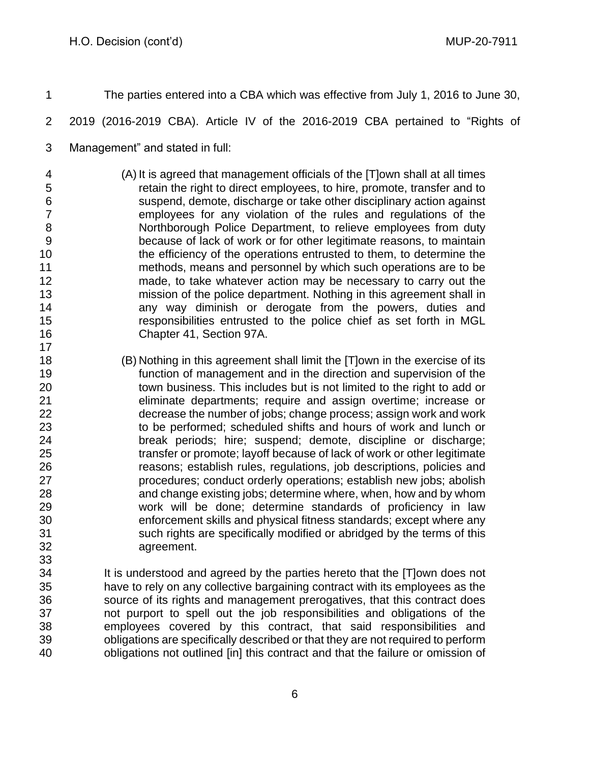agreement.

- The parties entered into a CBA which was effective from July 1, 2016 to June 30, 2019 (2016-2019 CBA). Article IV of the 2016-2019 CBA pertained to "Rights of Management" and stated in full: (A) It is agreed that management officials of the [T]own shall at all times retain the right to direct employees, to hire, promote, transfer and to suspend, demote, discharge or take other disciplinary action against employees for any violation of the rules and regulations of the Northborough Police Department, to relieve employees from duty because of lack of work or for other legitimate reasons, to maintain the efficiency of the operations entrusted to them, to determine the methods, means and personnel by which such operations are to be made, to take whatever action may be necessary to carry out the mission of the police department. Nothing in this agreement shall in any way diminish or derogate from the powers, duties and responsibilities entrusted to the police chief as set forth in MGL Chapter 41, Section 97A. (B) Nothing in this agreement shall limit the [T]own in the exercise of its function of management and in the direction and supervision of the town business. This includes but is not limited to the right to add or eliminate departments; require and assign overtime; increase or decrease the number of jobs; change process; assign work and work to be performed; scheduled shifts and hours of work and lunch or break periods; hire; suspend; demote, discipline or discharge; transfer or promote; layoff because of lack of work or other legitimate reasons; establish rules, regulations, job descriptions, policies and procedures; conduct orderly operations; establish new jobs; abolish and change existing jobs; determine where, when, how and by whom work will be done; determine standards of proficiency in law enforcement skills and physical fitness standards; except where any
- It is understood and agreed by the parties hereto that the [T]own does not have to rely on any collective bargaining contract with its employees as the source of its rights and management prerogatives, that this contract does not purport to spell out the job responsibilities and obligations of the employees covered by this contract, that said responsibilities and obligations are specifically described or that they are not required to perform obligations not outlined [in] this contract and that the failure or omission of

such rights are specifically modified or abridged by the terms of this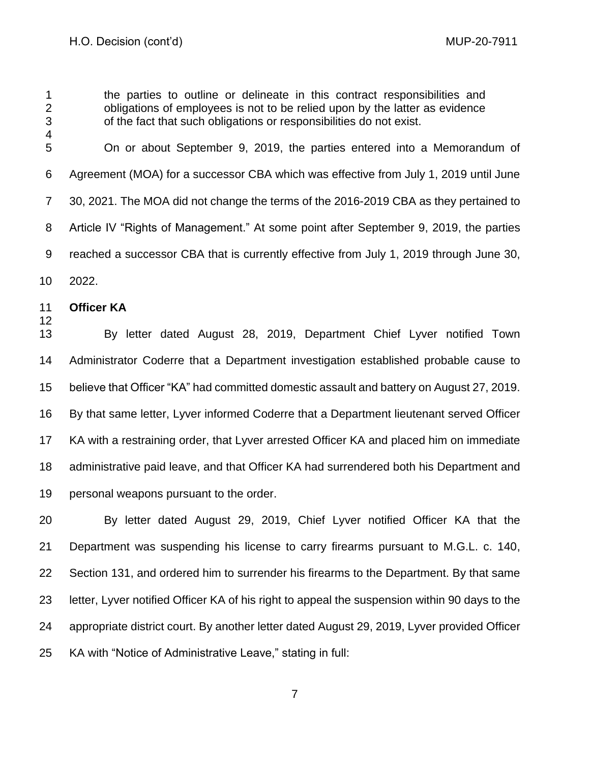the parties to outline or delineate in this contract responsibilities and obligations of employees is not to be relied upon by the latter as evidence of the fact that such obligations or responsibilities do not exist. On or about September 9, 2019, the parties entered into a Memorandum of Agreement (MOA) for a successor CBA which was effective from July 1, 2019 until June 30, 2021. The MOA did not change the terms of the 2016-2019 CBA as they pertained to Article IV "Rights of Management." At some point after September 9, 2019, the parties reached a successor CBA that is currently effective from July 1, 2019 through June 30, 2022. **Officer KA** By letter dated August 28, 2019, Department Chief Lyver notified Town Administrator Coderre that a Department investigation established probable cause to believe that Officer "KA" had committed domestic assault and battery on August 27, 2019. By that same letter, Lyver informed Coderre that a Department lieutenant served Officer

 KA with a restraining order, that Lyver arrested Officer KA and placed him on immediate administrative paid leave, and that Officer KA had surrendered both his Department and personal weapons pursuant to the order.

 By letter dated August 29, 2019, Chief Lyver notified Officer KA that the Department was suspending his license to carry firearms pursuant to M.G.L. c. 140, Section 131, and ordered him to surrender his firearms to the Department. By that same letter, Lyver notified Officer KA of his right to appeal the suspension within 90 days to the appropriate district court. By another letter dated August 29, 2019, Lyver provided Officer KA with "Notice of Administrative Leave," stating in full: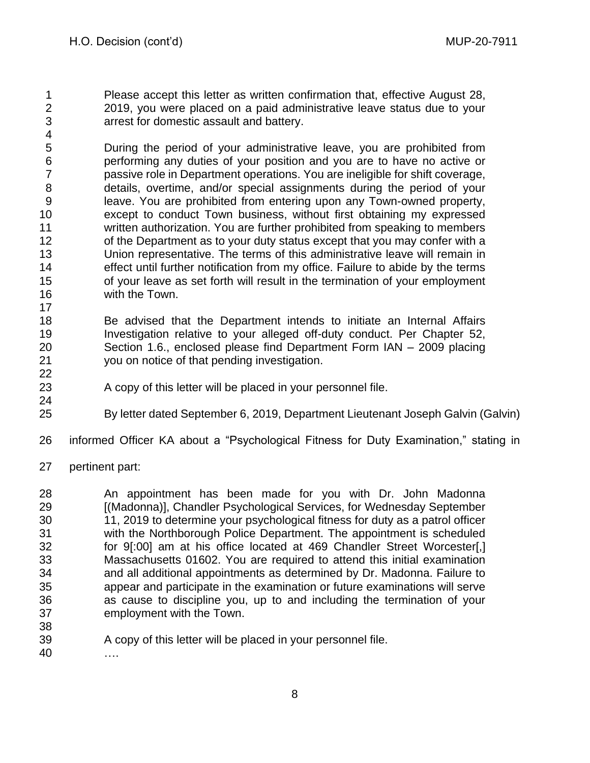Please accept this letter as written confirmation that, effective August 28, 2019, you were placed on a paid administrative leave status due to your arrest for domestic assault and battery.

 During the period of your administrative leave, you are prohibited from performing any duties of your position and you are to have no active or passive role in Department operations. You are ineligible for shift coverage, details, overtime, and/or special assignments during the period of your leave. You are prohibited from entering upon any Town-owned property, except to conduct Town business, without first obtaining my expressed written authorization. You are further prohibited from speaking to members 12 of the Department as to your duty status except that you may confer with a Union representative. The terms of this administrative leave will remain in effect until further notification from my office. Failure to abide by the terms of your leave as set forth will result in the termination of your employment with the Town.

- Be advised that the Department intends to initiate an Internal Affairs Investigation relative to your alleged off-duty conduct. Per Chapter 52, Section 1.6., enclosed please find Department Form IAN – 2009 placing you on notice of that pending investigation.
- 

- 23 A copy of this letter will be placed in your personnel file.
- 
- By letter dated September 6, 2019, Department Lieutenant Joseph Galvin (Galvin)
- informed Officer KA about a "Psychological Fitness for Duty Examination," stating in
- pertinent part:

 An appointment has been made for you with Dr. John Madonna [(Madonna)], Chandler Psychological Services, for Wednesday September 11, 2019 to determine your psychological fitness for duty as a patrol officer with the Northborough Police Department. The appointment is scheduled for 9[:00] am at his office located at 469 Chandler Street Worcester[,] Massachusetts 01602. You are required to attend this initial examination and all additional appointments as determined by Dr. Madonna. Failure to appear and participate in the examination or future examinations will serve as cause to discipline you, up to and including the termination of your employment with the Town. 

A copy of this letter will be placed in your personnel file.

….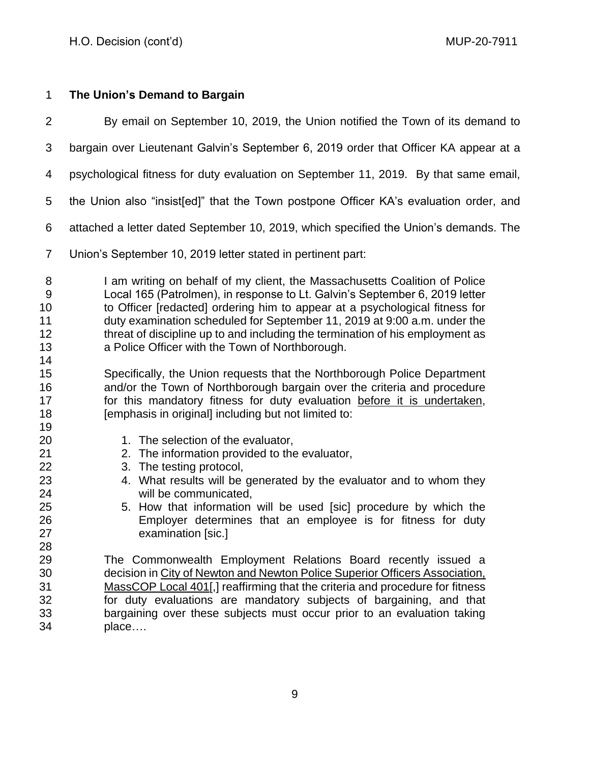# **The Union's Demand to Bargain**

 By email on September 10, 2019, the Union notified the Town of its demand to bargain over Lieutenant Galvin's September 6, 2019 order that Officer KA appear at a psychological fitness for duty evaluation on September 11, 2019. By that same email, the Union also "insist[ed]" that the Town postpone Officer KA's evaluation order, and attached a letter dated September 10, 2019, which specified the Union's demands. The Union's September 10, 2019 letter stated in pertinent part: 8 I am writing on behalf of my client, the Massachusetts Coalition of Police Local 165 (Patrolmen), in response to Lt. Galvin's September 6, 2019 letter to Officer [redacted] ordering him to appear at a psychological fitness for duty examination scheduled for September 11, 2019 at 9:00 a.m. under the 12 threat of discipline up to and including the termination of his employment as a Police Officer with the Town of Northborough. Specifically, the Union requests that the Northborough Police Department and/or the Town of Northborough bargain over the criteria and procedure 17 for this mandatory fitness for duty evaluation before it is undertaken, **Example 18** [emphasis in original] including but not limited to: 20 1. The selection of the evaluator, 2. The information provided to the evaluator, 3. The testing protocol, 4. What results will be generated by the evaluator and to whom they will be communicated, 5. How that information will be used [sic] procedure by which the Employer determines that an employee is for fitness for duty examination [sic.] The Commonwealth Employment Relations Board recently issued a decision in City of Newton and Newton Police Superior Officers Association, MassCOP Local 401[,] reaffirming that the criteria and procedure for fitness for duty evaluations are mandatory subjects of bargaining, and that bargaining over these subjects must occur prior to an evaluation taking place….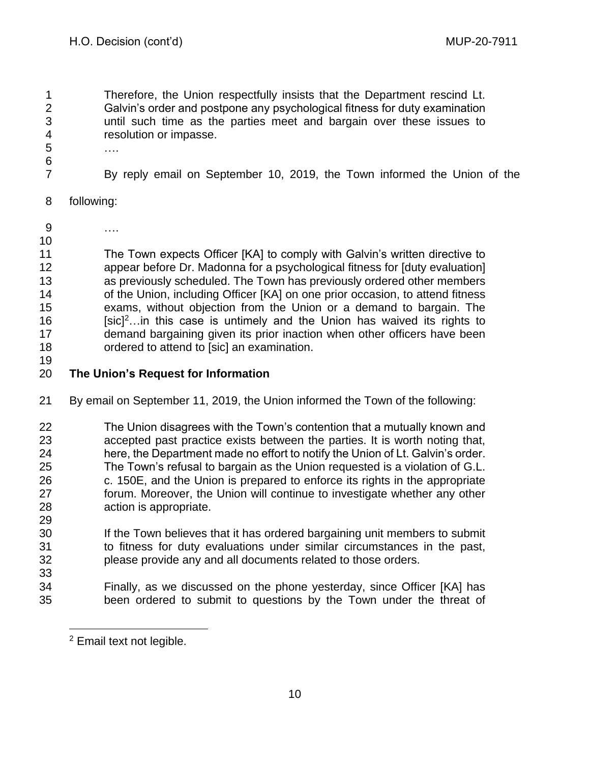Therefore, the Union respectfully insists that the Department rescind Lt. Galvin's order and postpone any psychological fitness for duty examination until such time as the parties meet and bargain over these issues to resolution or impasse.

- ….
- By reply email on September 10, 2019, the Town informed the Union of the
- following:
- ….
- The Town expects Officer [KA] to comply with Galvin's written directive to appear before Dr. Madonna for a psychological fitness for [duty evaluation] as previously scheduled. The Town has previously ordered other members of the Union, including Officer [KA] on one prior occasion, to attend fitness exams, without objection from the Union or a demand to bargain. The  $[{\rm sic}]^2$ ... in this case is untimely and the Union has waived its rights to demand bargaining given its prior inaction when other officers have been ordered to attend to [sic] an examination.
- 

# **The Union's Request for Information**

- By email on September 11, 2019, the Union informed the Town of the following:
- The Union disagrees with the Town's contention that a mutually known and accepted past practice exists between the parties. It is worth noting that, here, the Department made no effort to notify the Union of Lt. Galvin's order. The Town's refusal to bargain as the Union requested is a violation of G.L. c. 150E, and the Union is prepared to enforce its rights in the appropriate forum. Moreover, the Union will continue to investigate whether any other action is appropriate.
- If the Town believes that it has ordered bargaining unit members to submit to fitness for duty evaluations under similar circumstances in the past, please provide any and all documents related to those orders.
- Finally, as we discussed on the phone yesterday, since Officer [KA] has been ordered to submit to questions by the Town under the threat of

Email text not legible.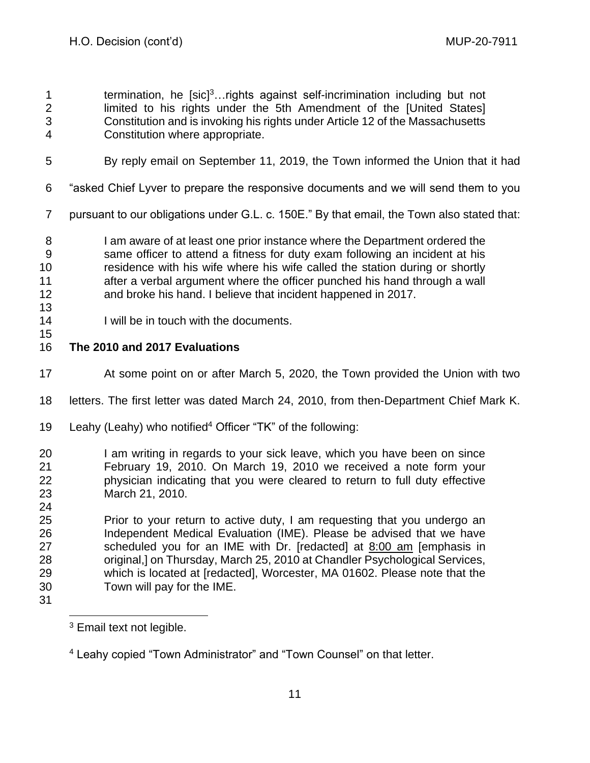**1** termination, he [sic]<sup>3</sup>... rights against self-incrimination including but not 2 limited to his rights under the 5th Amendment of the [United States] Constitution and is invoking his rights under Article 12 of the Massachusetts Constitution where appropriate.

- By reply email on September 11, 2019, the Town informed the Union that it had
- "asked Chief Lyver to prepare the responsive documents and we will send them to you
- pursuant to our obligations under G.L. c. 150E." By that email, the Town also stated that:

**I** am aware of at least one prior instance where the Department ordered the same officer to attend a fitness for duty exam following an incident at his residence with his wife where his wife called the station during or shortly 11 after a verbal argument where the officer punched his hand through a wall and broke his hand. I believe that incident happened in 2017.

- 
- 14 I will be in touch with the documents.

# **The 2010 and 2017 Evaluations**

- At some point on or after March 5, 2020, the Town provided the Union with two
- letters. The first letter was dated March 24, 2010, from then-Department Chief Mark K.
- 19 Leahy (Leahy) who notified<sup>4</sup> Officer "TK" of the following:
- I am writing in regards to your sick leave, which you have been on since February 19, 2010. On March 19, 2010 we received a note form your physician indicating that you were cleared to return to full duty effective March 21, 2010.
- Prior to your return to active duty, I am requesting that you undergo an Independent Medical Evaluation (IME). Please be advised that we have scheduled you for an IME with Dr. [redacted] at 8:00 am [emphasis in original,] on Thursday, March 25, 2010 at Chandler Psychological Services, which is located at [redacted], Worcester, MA 01602. Please note that the Town will pay for the IME.
- 

<sup>&</sup>lt;sup>3</sup> Email text not legible.

Leahy copied "Town Administrator" and "Town Counsel" on that letter.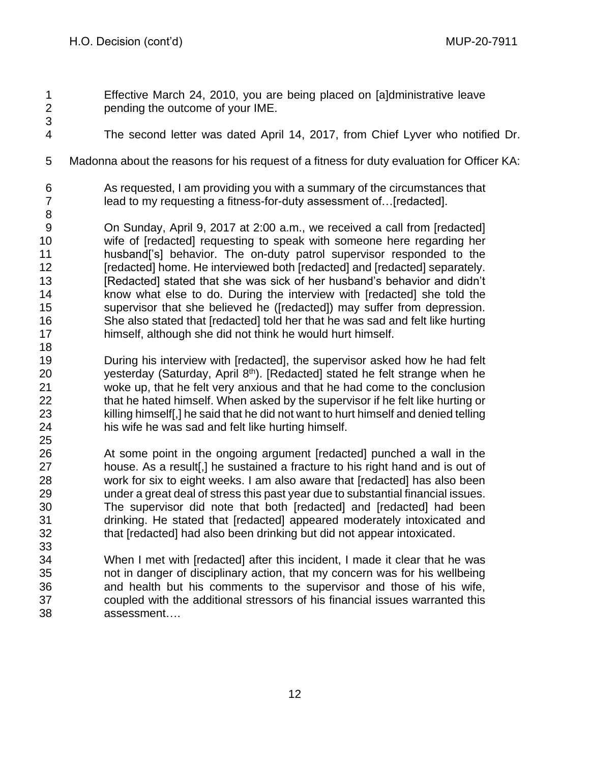- Effective March 24, 2010, you are being placed on [a]dministrative leave pending the outcome of your IME.
- The second letter was dated April 14, 2017, from Chief Lyver who notified Dr.
- Madonna about the reasons for his request of a fitness for duty evaluation for Officer KA:
- As requested, I am providing you with a summary of the circumstances that 7 lead to my requesting a fitness-for-duty assessment of... [redacted].
- On Sunday, April 9, 2017 at 2:00 a.m., we received a call from [redacted] wife of [redacted] requesting to speak with someone here regarding her husband['s] behavior. The on-duty patrol supervisor responded to the [redacted] home. He interviewed both [redacted] and [redacted] separately. 13 [Redacted] stated that she was sick of her husband's behavior and didn't know what else to do. During the interview with [redacted] she told the supervisor that she believed he ([redacted]) may suffer from depression. She also stated that [redacted] told her that he was sad and felt like hurting himself, although she did not think he would hurt himself.
- During his interview with [redacted], the supervisor asked how he had felt 20  $\mu$  yesterday (Saturday, April 8<sup>th</sup>). [Redacted] stated he felt strange when he woke up, that he felt very anxious and that he had come to the conclusion 22 that he hated himself. When asked by the supervisor if he felt like hurting or killing himself[,] he said that he did not want to hurt himself and denied telling his wife he was sad and felt like hurting himself.
- At some point in the ongoing argument [redacted] punched a wall in the 27 house. As a result[.] he sustained a fracture to his right hand and is out of work for six to eight weeks. I am also aware that [redacted] has also been under a great deal of stress this past year due to substantial financial issues. The supervisor did note that both [redacted] and [redacted] had been drinking. He stated that [redacted] appeared moderately intoxicated and that [redacted] had also been drinking but did not appear intoxicated.
- When I met with [redacted] after this incident, I made it clear that he was not in danger of disciplinary action, that my concern was for his wellbeing and health but his comments to the supervisor and those of his wife, coupled with the additional stressors of his financial issues warranted this assessment….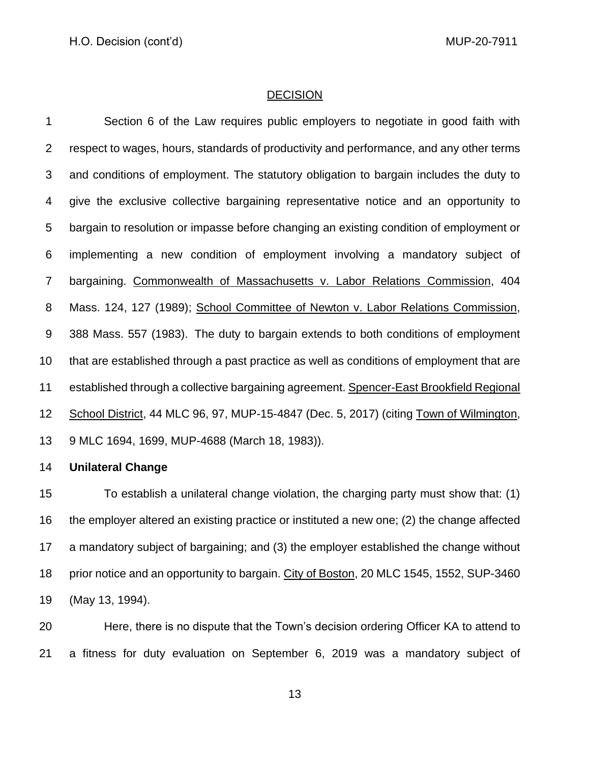#### **DECISION**

 Section 6 of the Law requires public employers to negotiate in good faith with respect to wages, hours, standards of productivity and performance, and any other terms and conditions of employment. The statutory obligation to bargain includes the duty to give the exclusive collective bargaining representative notice and an opportunity to bargain to resolution or impasse before changing an existing condition of employment or implementing a new condition of employment involving a mandatory subject of bargaining. Commonwealth of Massachusetts v. Labor Relations Commission, [404](http://socialaw.gvpi.net/sll/lpext.dll/sll/sjcapp/sjcapp-0385137#sjcapp-404-32-mass-46--32-124)  [Mass. 124,](http://socialaw.gvpi.net/sll/lpext.dll/sll/sjcapp/sjcapp-0385137#sjcapp-404-32-mass-46--32-124) 127 (1989); School Committee of Newton v. Labor Relations Commission, [388 Mass. 557](http://socialaw.gvpi.net/sll/lpext.dll/sll/sjcapp/sjcapp-0547911#sjcapp-388-32-mass-46--32-557) (1983). The duty to bargain extends to both conditions of employment that are established through a past practice as well as conditions of employment that are established through a collective bargaining agreement. Spencer-East Brookfield Regional School District, 44 MLC 96, 97, MUP-15-4847 (Dec. 5, 2017) (citing Town of Wilmington, 9 MLC 1694, 1699, MUP-4688 (March 18, 1983)).

# **Unilateral Change**

 To establish a unilateral change violation, the charging party must show that: (1) the employer altered an existing practice or instituted a new one; (2) the change affected a mandatory subject of bargaining; and (3) the employer established the change without 18 prior notice and an opportunity to bargain. City of Boston, 20 MLC 1545, 1552, SUP-3460 (May 13, 1994).

 Here, there is no dispute that the Town's decision ordering Officer KA to attend to a fitness for duty evaluation on September 6, 2019 was a mandatory subject of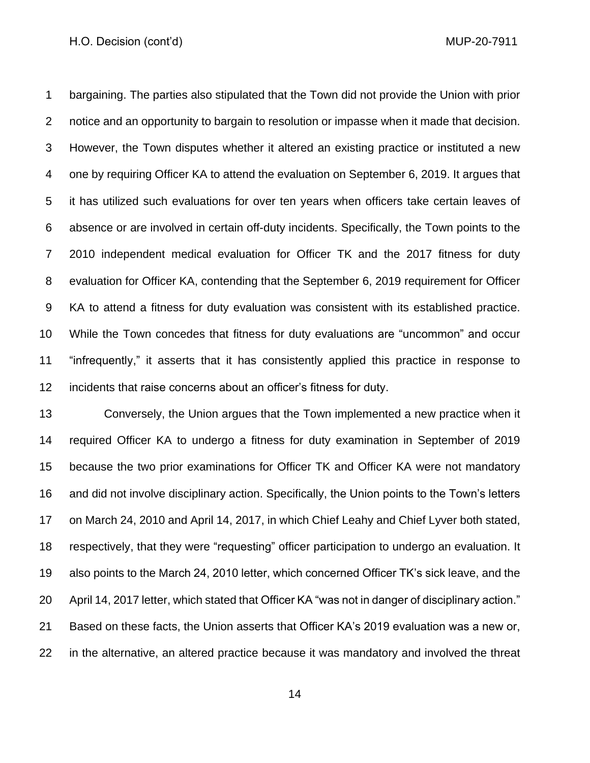#### H.O. Decision (cont'd) and the context of the context of the MUP-20-7911

 bargaining. The parties also stipulated that the Town did not provide the Union with prior notice and an opportunity to bargain to resolution or impasse when it made that decision. However, the Town disputes whether it altered an existing practice or instituted a new one by requiring Officer KA to attend the evaluation on September 6, 2019. It argues that it has utilized such evaluations for over ten years when officers take certain leaves of absence or are involved in certain off-duty incidents. Specifically, the Town points to the 2010 independent medical evaluation for Officer TK and the 2017 fitness for duty evaluation for Officer KA, contending that the September 6, 2019 requirement for Officer KA to attend a fitness for duty evaluation was consistent with its established practice. While the Town concedes that fitness for duty evaluations are "uncommon" and occur "infrequently," it asserts that it has consistently applied this practice in response to incidents that raise concerns about an officer's fitness for duty.

 Conversely, the Union argues that the Town implemented a new practice when it required Officer KA to undergo a fitness for duty examination in September of 2019 because the two prior examinations for Officer TK and Officer KA were not mandatory and did not involve disciplinary action. Specifically, the Union points to the Town's letters on March 24, 2010 and April 14, 2017, in which Chief Leahy and Chief Lyver both stated, respectively, that they were "requesting" officer participation to undergo an evaluation. It also points to the March 24, 2010 letter, which concerned Officer TK's sick leave, and the April 14, 2017 letter, which stated that Officer KA "was not in danger of disciplinary action." Based on these facts, the Union asserts that Officer KA's 2019 evaluation was a new or, in the alternative, an altered practice because it was mandatory and involved the threat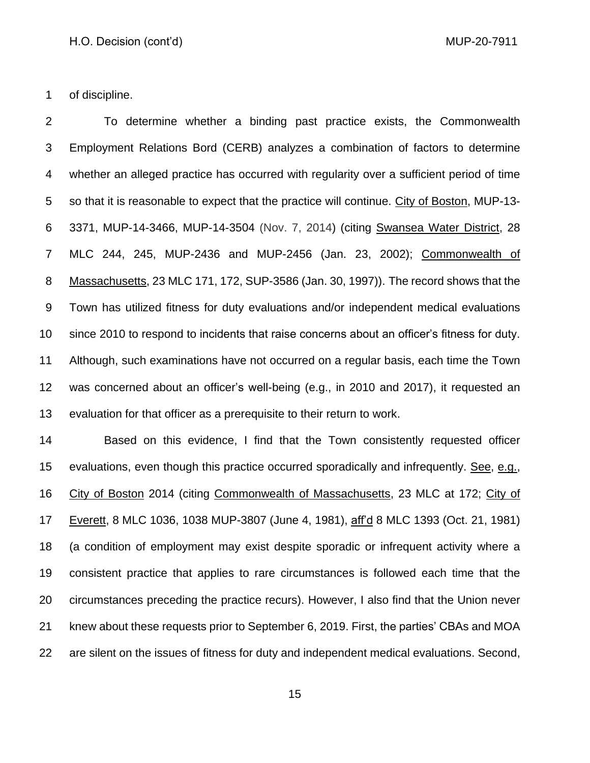of discipline.

 To determine whether a binding past practice exists, the Commonwealth Employment Relations Bord (CERB) analyzes a combination of factors to determine whether an alleged practice has occurred with regularity over a sufficient period of time 5 so that it is reasonable to expect that the practice will continue. City of Boston, MUP-13- 3371, MUP-14-3466, MUP-14-3504 (Nov. 7, 2014) (citing Swansea Water District, 28 MLC 244, 245, MUP-2436 and MUP-2456 (Jan. 23, 2002); Commonwealth of Massachusetts, 23 MLC 171, 172, SUP-3586 (Jan. 30, 1997)). The record shows that the Town has utilized fitness for duty evaluations and/or independent medical evaluations since 2010 to respond to incidents that raise concerns about an officer's fitness for duty. Although, such examinations have not occurred on a regular basis, each time the Town was concerned about an officer's well-being (e.g., in 2010 and 2017), it requested an evaluation for that officer as a prerequisite to their return to work.

 Based on this evidence, I find that the Town consistently requested officer evaluations, even though this practice occurred sporadically and infrequently. See, e.g., City of Boston 2014 (citing Commonwealth of Massachusetts, 23 MLC at 172; City of Everett, 8 MLC 1036, 1038 MUP-3807 (June 4, 1981), aff'd 8 MLC 1393 (Oct. 21, 1981) (a condition of employment may exist despite sporadic or infrequent activity where a consistent practice that applies to rare circumstances is followed each time that the circumstances preceding the practice recurs). However, I also find that the Union never knew about these requests prior to September 6, 2019. First, the parties' CBAs and MOA are silent on the issues of fitness for duty and independent medical evaluations. Second,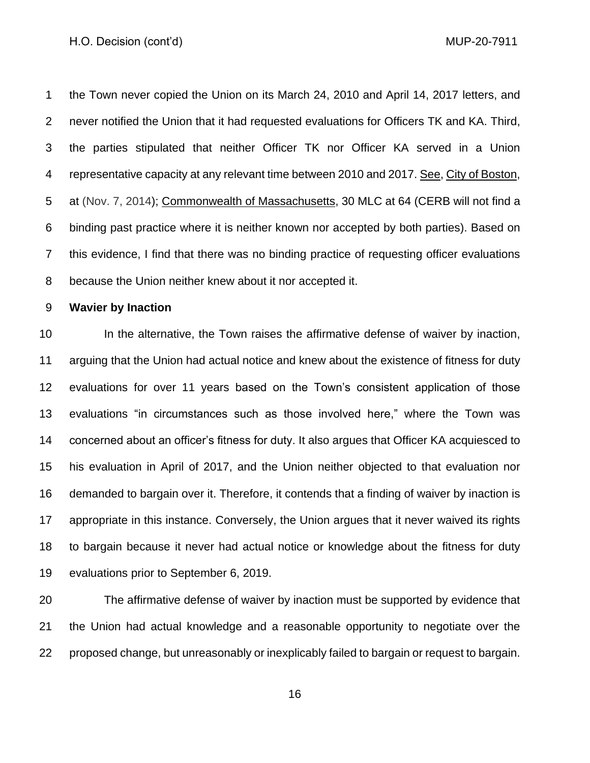#### H.O. Decision (cont'd) and the context of the context of the MUP-20-7911

 the Town never copied the Union on its March 24, 2010 and April 14, 2017 letters, and never notified the Union that it had requested evaluations for Officers TK and KA. Third, the parties stipulated that neither Officer TK nor Officer KA served in a Union 4 representative capacity at any relevant time between 2010 and 2017. See, City of Boston, 5 at (Nov. 7, 2014); Commonwealth of Massachusetts, 30 MLC at 64 (CERB will not find a binding past practice where it is neither known nor accepted by both parties). Based on this evidence, I find that there was no binding practice of requesting officer evaluations because the Union neither knew about it nor accepted it.

## **Wavier by Inaction**

 In the alternative, the Town raises the affirmative defense of waiver by inaction, arguing that the Union had actual notice and knew about the existence of fitness for duty evaluations for over 11 years based on the Town's consistent application of those evaluations "in circumstances such as those involved here," where the Town was concerned about an officer's fitness for duty. It also argues that Officer KA acquiesced to his evaluation in April of 2017, and the Union neither objected to that evaluation nor demanded to bargain over it. Therefore, it contends that a finding of waiver by inaction is appropriate in this instance. Conversely, the Union argues that it never waived its rights to bargain because it never had actual notice or knowledge about the fitness for duty evaluations prior to September 6, 2019.

 The affirmative defense of waiver by inaction must be supported by evidence that the Union had actual knowledge and a reasonable opportunity to negotiate over the proposed change, but unreasonably or inexplicably failed to bargain or request to bargain.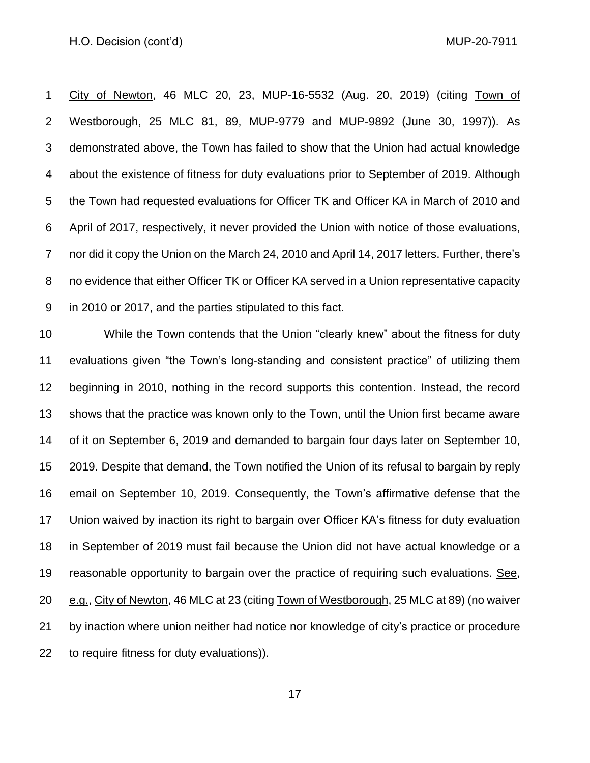City of Newton, 46 MLC 20, 23, MUP-16-5532 (Aug. 20, 2019) (citing Town of Westborough, 25 MLC 81, 89, MUP-9779 and MUP-9892 (June 30, 1997)). As demonstrated above, the Town has failed to show that the Union had actual knowledge about the existence of fitness for duty evaluations prior to September of 2019. Although the Town had requested evaluations for Officer TK and Officer KA in March of 2010 and April of 2017, respectively, it never provided the Union with notice of those evaluations, nor did it copy the Union on the March 24, 2010 and April 14, 2017 letters. Further, there's 8 no evidence that either Officer TK or Officer KA served in a Union representative capacity in 2010 or 2017, and the parties stipulated to this fact.

 While the Town contends that the Union "clearly knew" about the fitness for duty evaluations given "the Town's long-standing and consistent practice" of utilizing them beginning in 2010, nothing in the record supports this contention. Instead, the record shows that the practice was known only to the Town, until the Union first became aware of it on September 6, 2019 and demanded to bargain four days later on September 10, 2019. Despite that demand, the Town notified the Union of its refusal to bargain by reply email on September 10, 2019. Consequently, the Town's affirmative defense that the Union waived by inaction its right to bargain over Officer KA's fitness for duty evaluation in September of 2019 must fail because the Union did not have actual knowledge or a reasonable opportunity to bargain over the practice of requiring such evaluations. See, e.g., City of Newton, 46 MLC at 23 (citing Town of Westborough, 25 MLC at 89) (no waiver by inaction where union neither had notice nor knowledge of city's practice or procedure to require fitness for duty evaluations)).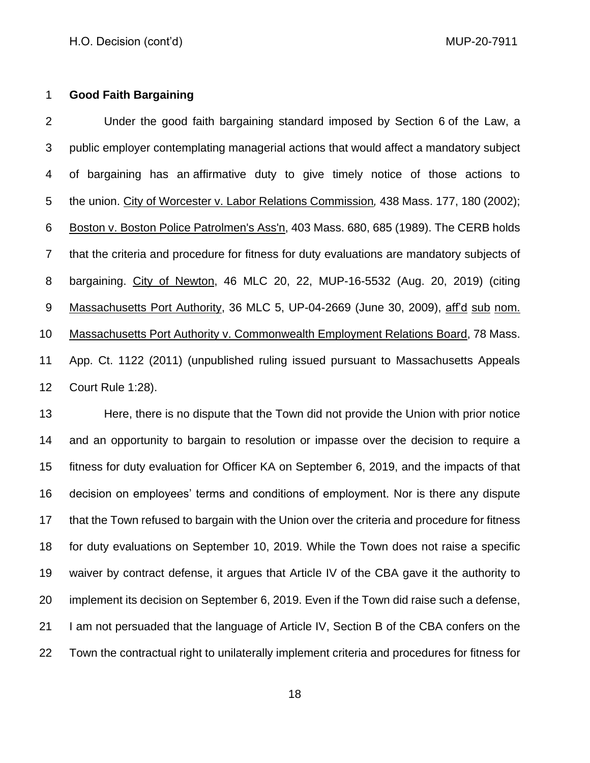## **Good Faith Bargaining**

 Under the good faith bargaining standard imposed by Section 6 of the Law, a public employer contemplating managerial actions that would affect a mandatory subject of bargaining has an affirmative duty to give timely notice of those actions to the union. City of Worcester v. Labor Relations Commission*,* 438 [Mass. 177, 180 \(2002\);](http://web2.westlaw.com/find/default.wl?serialnum=2002743177&tc=-1&rp=%2ffind%2fdefault.wl&sv=Split&rs=WLW11.07&db=578&tf=-1&findtype=Y&fn=_top&mt=56&vr=2.0&pbc=B03C5E41&ordoc=2010406967) Boston v. Boston Police Patrolmen's Ass'n, [403 Mass. 680,](http://socialaw.gvpi.net/sll/lpext.dll/sll/sjcapp/sjcapp-0464323#sjcapp-403-32-mass-46--32-680) 685 (1989). The CERB holds that the criteria and procedure for fitness for duty evaluations are mandatory subjects of bargaining. City of Newton, 46 MLC 20, 22, MUP-16-5532 (Aug. 20, 2019) (citing Massachusetts Port Authority, 36 MLC 5, UP-04-2669 (June 30, 2009), aff'd sub nom. Massachusetts Port Authority v. Commonwealth Employment Relations Board, 78 Mass. App. Ct. 1122 (2011) (unpublished ruling issued pursuant to Massachusetts Appeals Court Rule 1:28).

 Here, there is no dispute that the Town did not provide the Union with prior notice and an opportunity to bargain to resolution or impasse over the decision to require a fitness for duty evaluation for Officer KA on September 6, 2019, and the impacts of that decision on employees' terms and conditions of employment. Nor is there any dispute 17 that the Town refused to bargain with the Union over the criteria and procedure for fitness for duty evaluations on September 10, 2019. While the Town does not raise a specific waiver by contract defense, it argues that Article IV of the CBA gave it the authority to implement its decision on September 6, 2019. Even if the Town did raise such a defense, I am not persuaded that the language of Article IV, Section B of the CBA confers on the Town the contractual right to unilaterally implement criteria and procedures for fitness for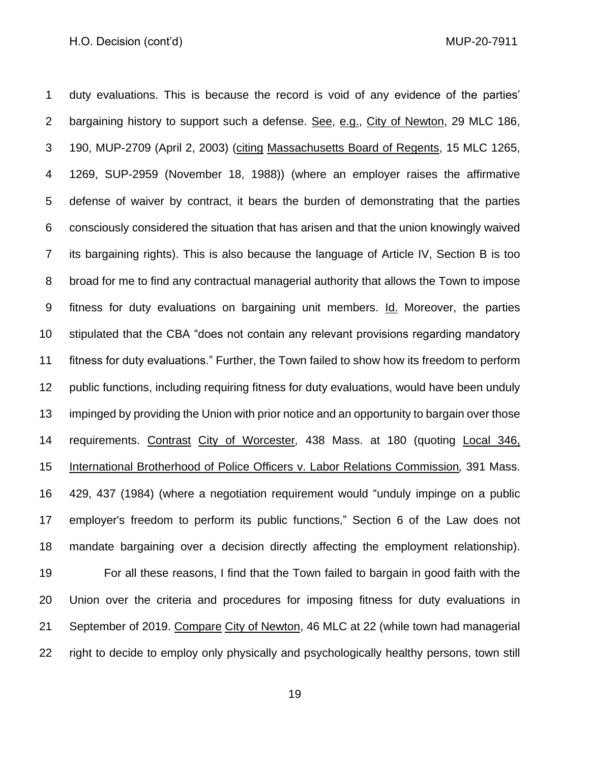duty evaluations. This is because the record is void of any evidence of the parties' bargaining history to support such a defense. See, e.g., City of Newton, 29 MLC 186, 190, MUP-2709 (April 2, 2003) (citing Massachusetts Board of Regents, 15 MLC 1265, 1269, SUP-2959 (November 18, 1988)) (where an employer raises the affirmative defense of waiver by contract, it bears the burden of demonstrating that the parties consciously considered the situation that has arisen and that the union knowingly waived its bargaining rights). This is also because the language of Article IV, Section B is too broad for me to find any contractual managerial authority that allows the Town to impose fitness for duty evaluations on bargaining unit members. Id. Moreover, the parties stipulated that the CBA "does not contain any relevant provisions regarding mandatory fitness for duty evaluations." Further, the Town failed to show how its freedom to perform public functions, including requiring fitness for duty evaluations, would have been unduly impinged by providing the Union with prior notice and an opportunity to bargain over those requirements. Contrast City of Worcester*,* [438 Mass. at](http://web2.westlaw.com/find/default.wl?serialnum=2002743177&tc=-1&rp=%2ffind%2fdefault.wl&sv=Split&rs=WLW11.07&db=578&tf=-1&findtype=Y&fn=_top&mt=56&vr=2.0&pbc=B03C5E41&ordoc=2010406967) 180 (quoting [Local 346,](http://web2.westlaw.com/find/default.wl?serialnum=1984115004&tc=-1&rp=%2ffind%2fdefault.wl&sv=Split&rs=WLW11.07&db=578&tf=-1&findtype=Y&fn=_top&mt=56&vr=2.0&pbc=B03C5E41&ordoc=2010406967)  [International Brotherhood of Police Officers v. Labor Relations Commission](http://web2.westlaw.com/find/default.wl?serialnum=1984115004&tc=-1&rp=%2ffind%2fdefault.wl&sv=Split&rs=WLW11.07&db=578&tf=-1&findtype=Y&fn=_top&mt=56&vr=2.0&pbc=B03C5E41&ordoc=2010406967)*,* 391 Mass. [429, 437 \(1984\)](http://web2.westlaw.com/find/default.wl?serialnum=1984115004&tc=-1&rp=%2ffind%2fdefault.wl&sv=Split&rs=WLW11.07&db=578&tf=-1&findtype=Y&fn=_top&mt=56&vr=2.0&pbc=B03C5E41&ordoc=2010406967) (where a negotiation requirement would "unduly impinge on a public employer's freedom to perform its public functions," Section 6 of the Law does not mandate bargaining over a decision directly affecting the employment relationship). For all these reasons, I find that the Town failed to bargain in good faith with the Union over the criteria and procedures for imposing fitness for duty evaluations in September of 2019. Compare City of Newton, 46 MLC at 22 (while town had managerial right to decide to employ only physically and psychologically healthy persons, town still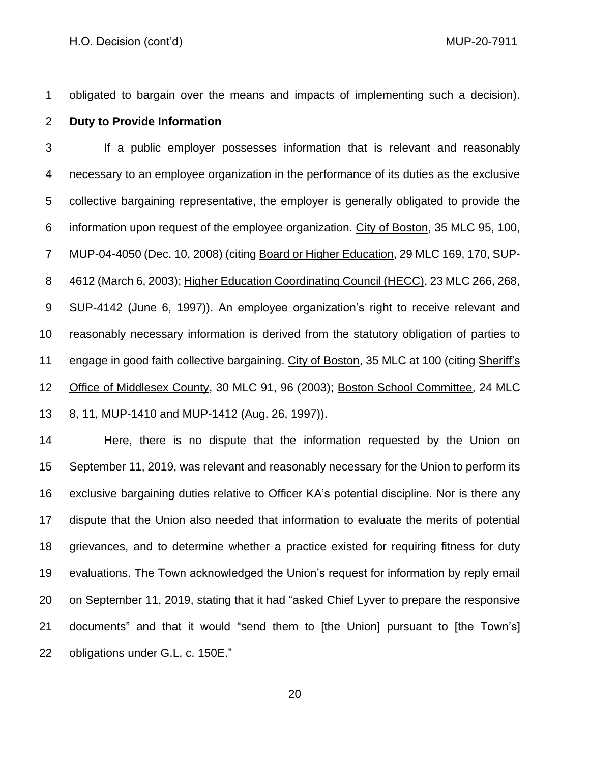obligated to bargain over the means and impacts of implementing such a decision).

#### **Duty to Provide Information**

 If a public employer possesses information that is relevant and reasonably necessary to an employee organization in the performance of its duties as the exclusive collective bargaining representative, the employer is generally obligated to provide the information upon request of the employee organization. City of Boston, 35 MLC 95, 100, MUP-04-4050 (Dec. 10, 2008) (citing Board or Higher Education, 29 MLC 169, 170, SUP- 4612 (March 6, 2003); Higher Education Coordinating Council (HECC), 23 MLC 266, 268, SUP-4142 (June 6, 1997)). An employee organization's right to receive relevant and reasonably necessary information is derived from the statutory obligation of parties to engage in good faith collective bargaining. City of Boston, 35 MLC at 100 (citing Sheriff's Office of Middlesex County, 30 MLC 91, 96 (2003); Boston School Committee, 24 MLC 8, 11, MUP-1410 and MUP-1412 (Aug. 26, 1997)).

 Here, there is no dispute that the information requested by the Union on September 11, 2019, was relevant and reasonably necessary for the Union to perform its exclusive bargaining duties relative to Officer KA's potential discipline. Nor is there any dispute that the Union also needed that information to evaluate the merits of potential grievances, and to determine whether a practice existed for requiring fitness for duty evaluations. The Town acknowledged the Union's request for information by reply email on September 11, 2019, stating that it had "asked Chief Lyver to prepare the responsive documents" and that it would "send them to [the Union] pursuant to [the Town's] obligations under G.L. c. 150E."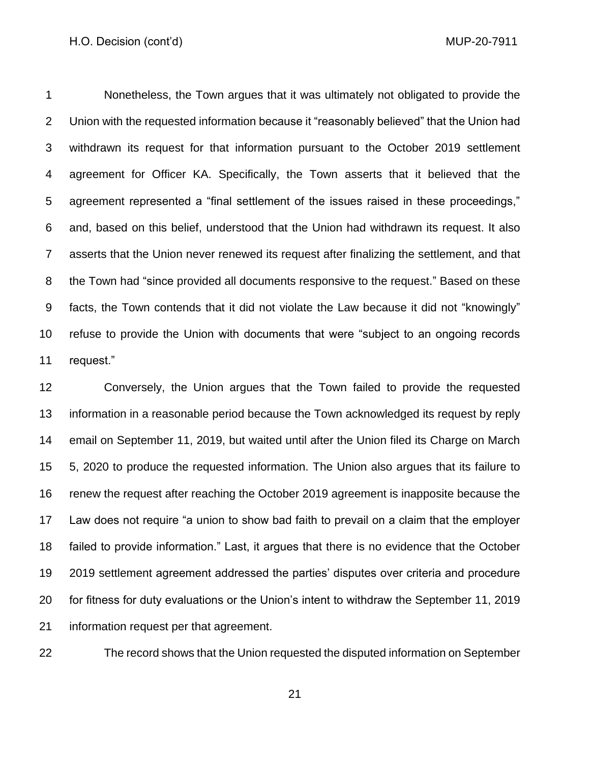Nonetheless, the Town argues that it was ultimately not obligated to provide the Union with the requested information because it "reasonably believed" that the Union had withdrawn its request for that information pursuant to the October 2019 settlement agreement for Officer KA. Specifically, the Town asserts that it believed that the agreement represented a "final settlement of the issues raised in these proceedings," and, based on this belief, understood that the Union had withdrawn its request. It also asserts that the Union never renewed its request after finalizing the settlement, and that the Town had "since provided all documents responsive to the request." Based on these facts, the Town contends that it did not violate the Law because it did not "knowingly" refuse to provide the Union with documents that were "subject to an ongoing records request."

 Conversely, the Union argues that the Town failed to provide the requested information in a reasonable period because the Town acknowledged its request by reply email on September 11, 2019, but waited until after the Union filed its Charge on March 5, 2020 to produce the requested information. The Union also argues that its failure to renew the request after reaching the October 2019 agreement is inapposite because the Law does not require "a union to show bad faith to prevail on a claim that the employer failed to provide information." Last, it argues that there is no evidence that the October 2019 settlement agreement addressed the parties' disputes over criteria and procedure for fitness for duty evaluations or the Union's intent to withdraw the September 11, 2019 information request per that agreement.

The record shows that the Union requested the disputed information on September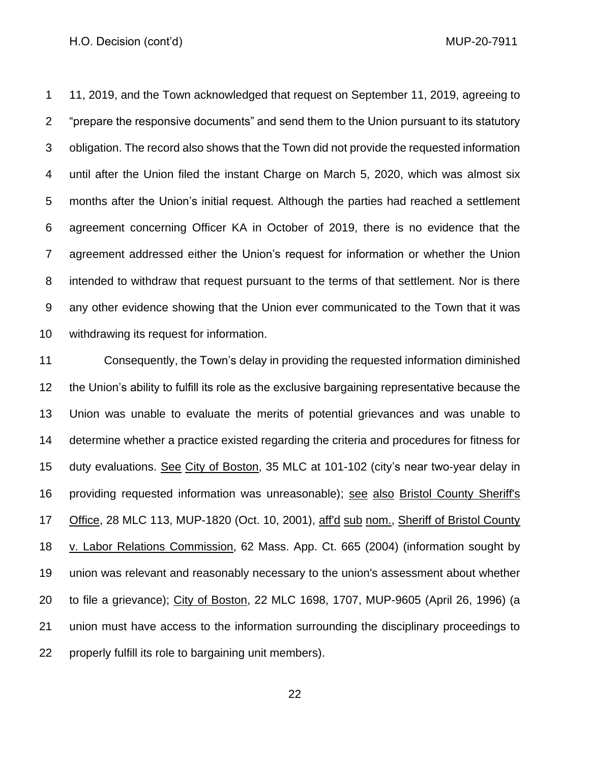11, 2019, and the Town acknowledged that request on September 11, 2019, agreeing to "prepare the responsive documents" and send them to the Union pursuant to its statutory obligation. The record also shows that the Town did not provide the requested information until after the Union filed the instant Charge on March 5, 2020, which was almost six months after the Union's initial request. Although the parties had reached a settlement agreement concerning Officer KA in October of 2019, there is no evidence that the agreement addressed either the Union's request for information or whether the Union intended to withdraw that request pursuant to the terms of that settlement. Nor is there any other evidence showing that the Union ever communicated to the Town that it was withdrawing its request for information.

 Consequently, the Town's delay in providing the requested information diminished the Union's ability to fulfill its role as the exclusive bargaining representative because the Union was unable to evaluate the merits of potential grievances and was unable to determine whether a practice existed regarding the criteria and procedures for fitness for duty evaluations. See City of Boston, 35 MLC at 101-102 (city's near two-year delay in providing requested information was unreasonable); see also Bristol County Sheriff's Office, 28 MLC 113, MUP-1820 (Oct. 10, 2001), aff'd sub nom., Sheriff of Bristol County v. Labor Relations Commission, [62 Mass. App. Ct. 665](http://sll.gvpi.net/document.php?field=jd&value=sjcapp:62_mass._app._ct._665) (2004) (information sought by union was relevant and reasonably necessary to the union's assessment about whether to file a grievance); City of Boston, 22 MLC 1698, 1707, MUP-9605 (April 26, 1996) (a union must have access to the information surrounding the disciplinary proceedings to properly fulfill its role to bargaining unit members).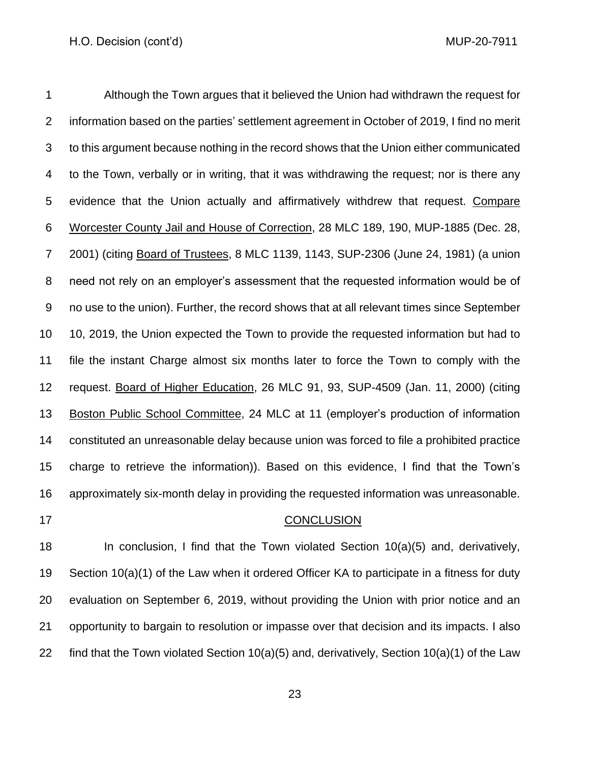Although the Town argues that it believed the Union had withdrawn the request for information based on the parties' settlement agreement in October of 2019, I find no merit to this argument because nothing in the record shows that the Union either communicated to the Town, verbally or in writing, that it was withdrawing the request; nor is there any 5 evidence that the Union actually and affirmatively withdrew that request. Compare Worcester County Jail and House of Correction, 28 MLC 189, 190, MUP-1885 (Dec. 28, 2001) (citing Board of Trustees, 8 MLC 1139, 1143, SUP-2306 (June 24, 1981) (a union need not rely on an employer's assessment that the requested information would be of no use to the union). Further, the record shows that at all relevant times since September 10, 2019, the Union expected the Town to provide the requested information but had to file the instant Charge almost six months later to force the Town to comply with the request. Board of Higher Education, 26 MLC 91, 93, SUP-4509 (Jan. 11, 2000) (citing Boston Public School Committee, 24 MLC at 11 (employer's production of information constituted an unreasonable delay because union was forced to file a prohibited practice charge to retrieve the information)). Based on this evidence, I find that the Town's approximately six-month delay in providing the requested information was unreasonable.

## 17 CONCLUSION

 In conclusion, I find that the Town violated Section 10(a)(5) and, derivatively, Section 10(a)(1) of the Law when it ordered Officer KA to participate in a fitness for duty evaluation on September 6, 2019, without providing the Union with prior notice and an opportunity to bargain to resolution or impasse over that decision and its impacts. I also find that the Town violated Section 10(a)(5) and, derivatively, Section 10(a)(1) of the Law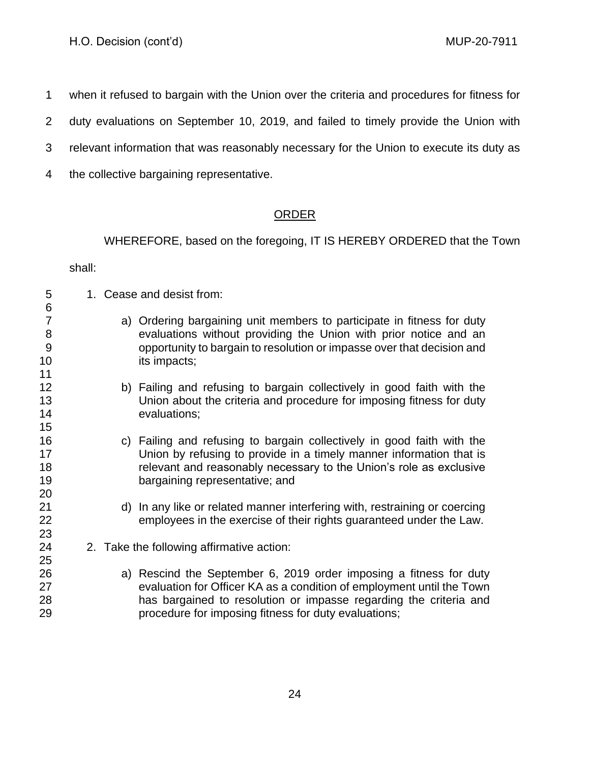when it refused to bargain with the Union over the criteria and procedures for fitness for

duty evaluations on September 10, 2019, and failed to timely provide the Union with

- relevant information that was reasonably necessary for the Union to execute its duty as
- the collective bargaining representative.

# ORDER

WHEREFORE, based on the foregoing, IT IS HEREBY ORDERED that the Town

shall:

 1. Cease and desist from: a) Ordering bargaining unit members to participate in fitness for duty evaluations without providing the Union with prior notice and an opportunity to bargain to resolution or impasse over that decision and 10 its impacts; b) Failing and refusing to bargain collectively in good faith with the Union about the criteria and procedure for imposing fitness for duty evaluations; c) Failing and refusing to bargain collectively in good faith with the Union by refusing to provide in a timely manner information that is relevant and reasonably necessary to the Union's role as exclusive bargaining representative; and d) In any like or related manner interfering with, restraining or coercing employees in the exercise of their rights guaranteed under the Law. 2. Take the following affirmative action: a) Rescind the September 6, 2019 order imposing a fitness for duty evaluation for Officer KA as a condition of employment until the Town has bargained to resolution or impasse regarding the criteria and procedure for imposing fitness for duty evaluations;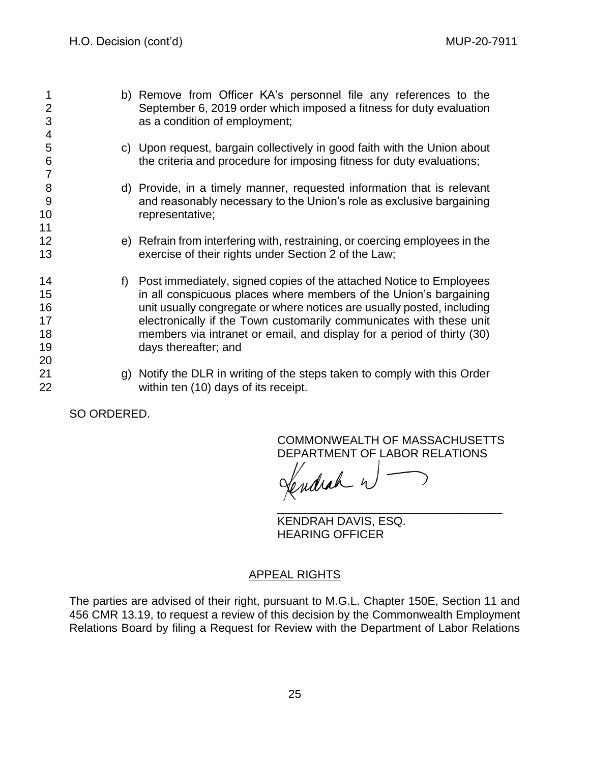b) Remove from Officer KA's personnel file any references to the September 6, 2019 order which imposed a fitness for duty evaluation as a condition of employment; c) Upon request, bargain collectively in good faith with the Union about the criteria and procedure for imposing fitness for duty evaluations; d) Provide, in a timely manner, requested information that is relevant and reasonably necessary to the Union's role as exclusive bargaining 10 representative; e) Refrain from interfering with, restraining, or coercing employees in the exercise of their rights under Section 2 of the Law; f) Post immediately, signed copies of the attached Notice to Employees **in all conspicuous places where members of the Union's bargaining**  unit usually congregate or where notices are usually posted, including electronically if the Town customarily communicates with these unit members via intranet or email, and display for a period of thirty (30) days thereafter; and g) Notify the DLR in writing of the steps taken to comply with this Order within ten (10) days of its receipt.

SO ORDERED.

COMMONWEALTH OF MASSACHUSETTS DEPARTMENT OF LABOR RELATIONS

\_\_\_\_\_\_\_\_\_\_\_\_\_\_\_\_\_\_\_\_\_\_\_\_\_\_\_\_\_\_\_\_\_\_\_

Sendrah n

KENDRAH DAVIS, ESQ. HEARING OFFICER

# APPEAL RIGHTS

The parties are advised of their right, pursuant to M.G.L. Chapter 150E, Section 11 and 456 CMR 13.19, to request a review of this decision by the Commonwealth Employment Relations Board by filing a Request for Review with the Department of Labor Relations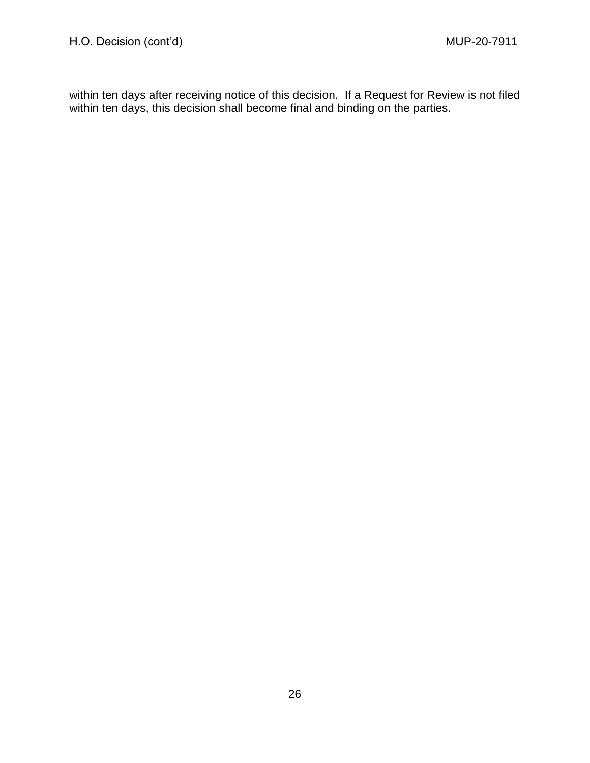within ten days after receiving notice of this decision. If a Request for Review is not filed within ten days, this decision shall become final and binding on the parties.